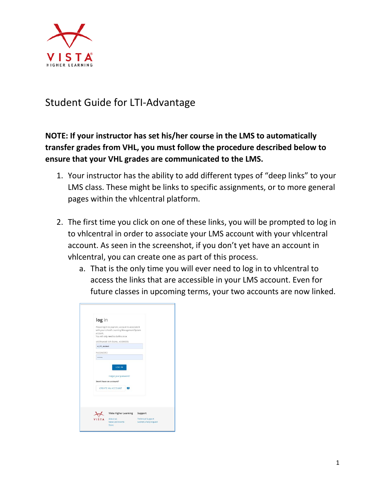

## Student Guide for LTI-Advantage

## **NOTE: If your instructor has set his/her course in the LMS to automatically transfer grades from VHL, you must follow the procedure described below to ensure that your VHL grades are communicated to the LMS.**

- 1. Your instructor has the ability to add different types of "deep links" to your LMS class. These might be links to specific assignments, or to more general pages within the vhlcentral platform.
- 2. The first time you click on one of these links, you will be prompted to log in to vhlcentral in order to associate your LMS account with your vhlcentral account. As seen in the screenshot, if you don't yet have an account in vhlcentral, you can create one as part of this process.
	- a. That is the only time you will ever need to log in to vhlcentral to access the links that are accessible in your LMS account. Even for future classes in upcoming terms, your two accounts are now linked.